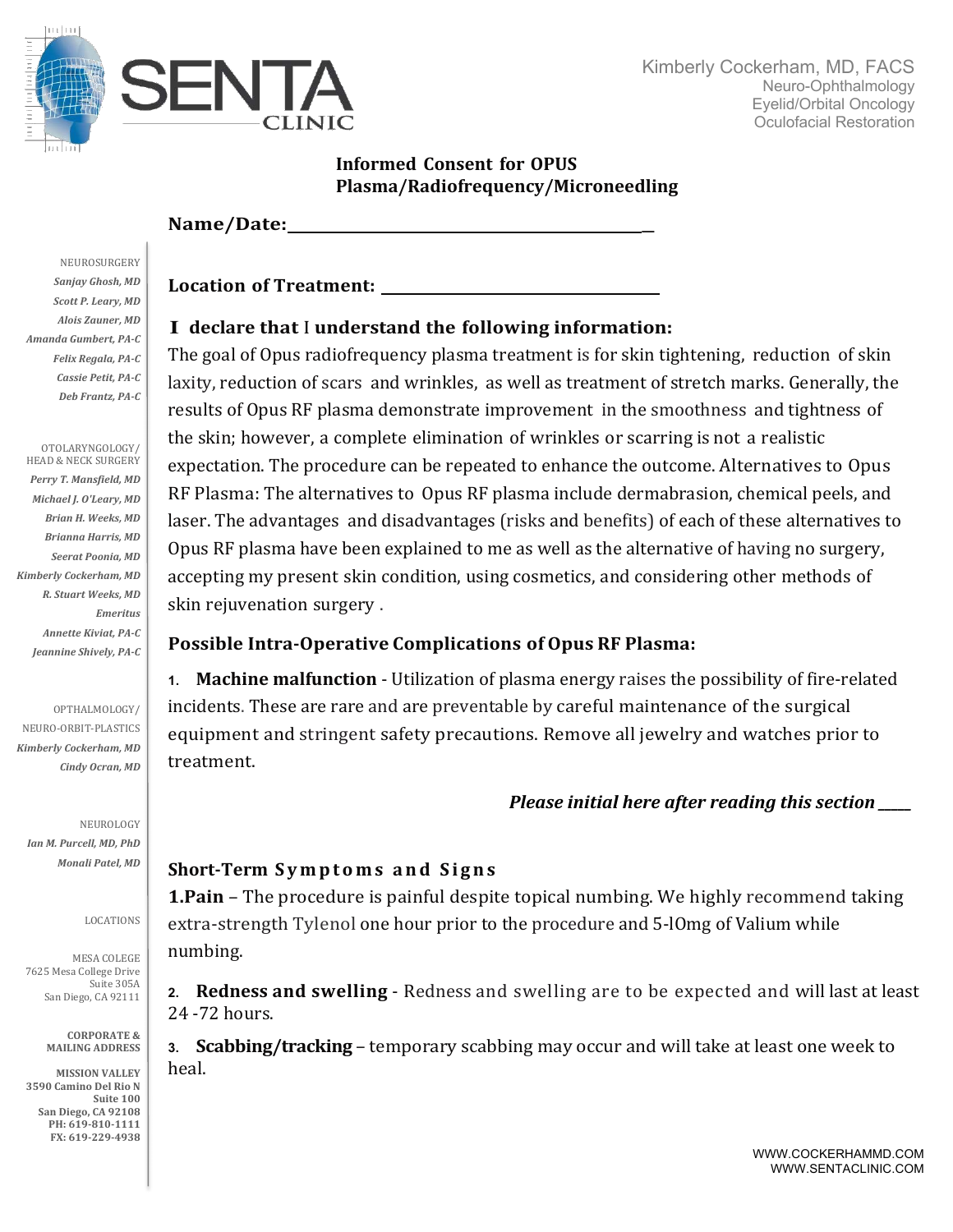

### **Informed Consent for OPUS Plasma/Radiofrequency/Microneedling**

### **Name/Date:**

**Location of Treatment:**

### I **declare that** <sup>I</sup> **understand the following information:**

The goal of Opus radiofrequency plasma treatment is for skin tightening, reduction of skin laxity, reduction of scars and wrinkles, as well as treatment of stretch marks. Generally, the results of Opus RF plasma demonstrate improvement in the smoothness and tightness of the skin; however, a complete elimination of wrinkles or scarring is not a realistic expectation. The procedure can be repeated to enhance the outcome. Alternatives to Opus RF Plasma: The alternatives to Opus RF plasma include dermabrasion, chemical peels, and laser. The advantages and disadvantages (risks and benefits) of each of these alternatives to Opus RF plasma have been explained to me as well as the alternative of having no surgery, accepting my present skin condition, using cosmetics, and considering other methods of skin rejuvenation surgery .

#### **Possible Intra-Operative Complications of Opus RF Plasma:**

**1. Machine malfunction** - Utilization of plasma energy raises the possibility of fire-related incidents. These are rare and are preventable by careful maintenance of the surgical equipment and stringent safety precautions. Remove all jewelry and watches prior to treatment. 

# *Please initial here after reading this section*

# **Short-Term Symptoms and Signs**

**1.Pain** – The procedure is painful despite topical numbing. We highly recommend taking extra-strength Tylenol one hour prior to the procedure and 5-lOmg of Valium while numbing. 

**2.** Redness and swelling - Redness and swelling are to be expected and will last at least 24 -72 hours.

**3. Scabbing/tracking** – temporary scabbing may occur and will take at least one week to heal. 

**NEUROSURGERY** Sanjay Ghosh, MD **Scott P. Leary, MD** *Alois Zauner, MD Amanda Gumbert, PA-C Felix Regala, PA-C Cassie Petit, PA-C Deb Frantz, PA-C*

OTOLARYNGOLOGY/ HEAD & NECK SURGERY Perry T. Mansfield, MD *Michael J. O'Leary, MD Brian H. Weeks, MD Brianna Harris, MD Seerat Poonia, MD Kimberly Cockerham, MD R. Stuart Weeks, MD Emeritus Annette Kiviat, PA-C* Jeannine Shively, PA-C

OPTHALMOLOGY/

NEURO-ORBIT-PLASTICS *Kimberly Cockerham, MD Cindy Ocran, MD*

NEUROLOGY *Ian M. Purcell, MD, PhD Monali Patel, MD*

#### LOCATIONS

MESA COLEGE 7625 Mesa College Drive Suite 305A San Diego, CA 92111

> **CORPORATE & MAILING ADDRESS**

**MISSION VALLEY 3590 Camino Del Rio N Suite 100 San Diego, CA 92108** PH: 619-810-1111 **FX: 619-229-4938**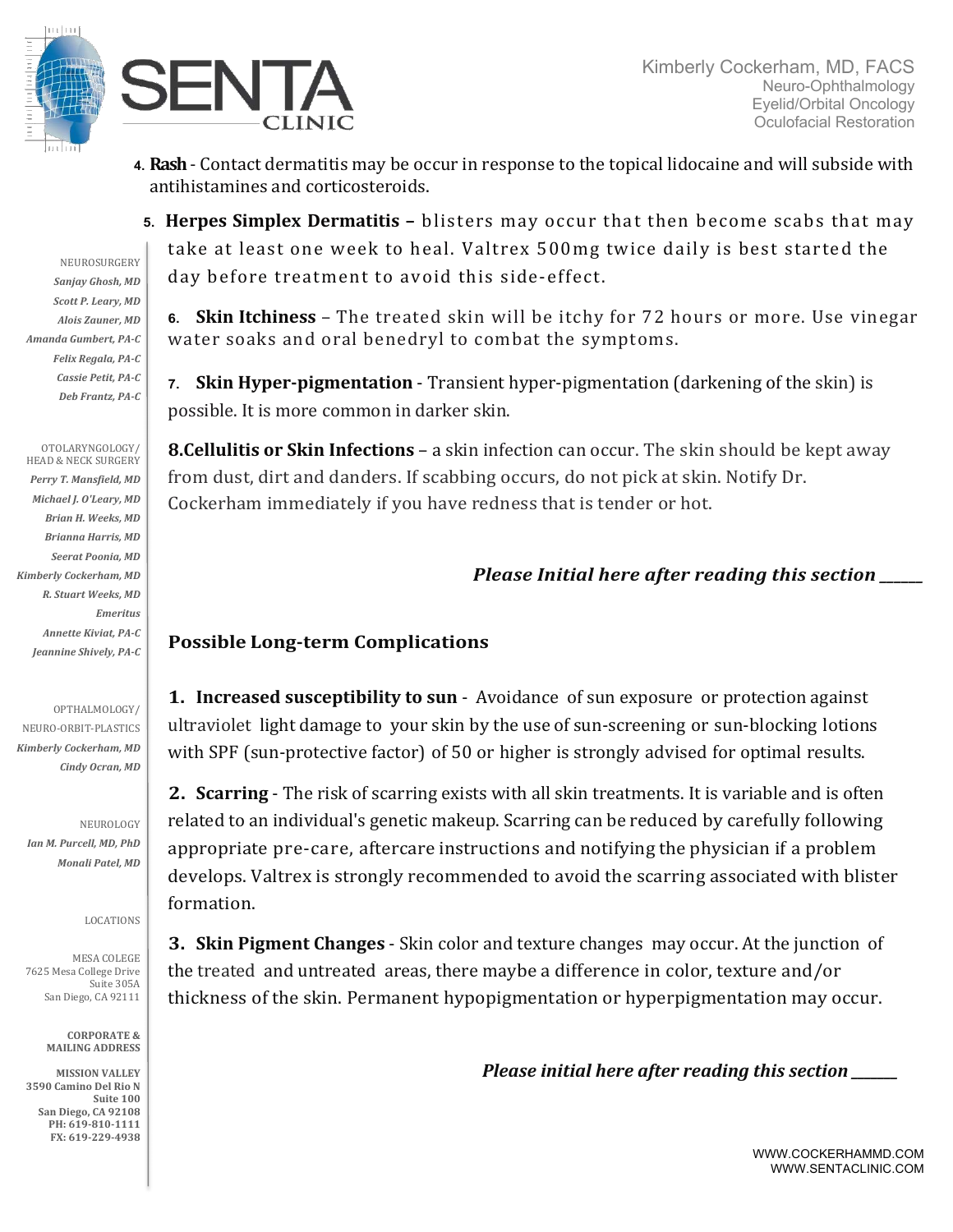



4. **Rash** - Contact dermatitis may be occur in response to the topical lidocaine and will subside with antihistamines and corticosteroids.

**5. Herpes Simplex Dermatitis** - blisters may occur that then become scabs that may take at least one week to heal. Valtrex 500mg twice daily is best started the day before treatment to avoid this side-effect.

**6. Skin Itchiness** – The treated skin will be itchy for 72 hours or more. Use vinegar water soaks and oral benedryl to combat the symptoms.

**7. Skin Hyper-pigmentation** - Transient hyper-pigmentation (darkening of the skin) is possible. It is more common in darker skin.

**8.Cellulitis or Skin Infections** – a skin infection can occur. The skin should be kept away from dust, dirt and danders. If scabbing occurs, do not pick at skin. Notify Dr. Cockerham immediately if you have redness that is tender or hot.

# *Please Initial here after reading this section*

# **Possible Long-term Complications**

**1. Increased susceptibility to sun** - Avoidance of sun exposure or protection against ultraviolet light damage to your skin by the use of sun-screening or sun-blocking lotions with SPF (sun-protective factor) of 50 or higher is strongly advised for optimal results.

**2. Scarring** - The risk of scarring exists with all skin treatments. It is variable and is often related to an individual's genetic makeup. Scarring can be reduced by carefully following appropriate pre-care, aftercare instructions and notifying the physician if a problem develops. Valtrex is strongly recommended to avoid the scarring associated with blister formation.

**3. Skin Pigment Changes** - Skin color and texture changes may occur. At the junction of the treated and untreated areas, there maybe a difference in color, texture and/or thickness of the skin. Permanent hypopigmentation or hyperpigmentation may occur.

*Please initial here after reading this section* 

NEUROSURGERY Sanjay Ghosh, MD **Scott P. Leary, MD** *Alois Zauner, MD Amanda Gumbert, PA-C Felix Regala, PA-C Cassie Petit, PA-C Deb Frantz, PA-C*

OTOLARYNGOLOGY/ HEAD & NECK SURGERY Perry T. Mansfield, MD *Michael J. O'Leary, MD Brian H. Weeks, MD Brianna Harris, MD Seerat Poonia, MD Kimberly Cockerham, MD R. Stuart Weeks, MD Emeritus Annette Kiviat, PA-C* Jeannine Shively, PA-C

OPTHALMOLOGY/

NEURO-ORBIT-PLASTICS *Kimberly Cockerham, MD Cindy Ocran, MD*

NEUROLOGY *Ian M. Purcell, MD, PhD Monali Patel, MD*

LOCATIONS

MESA COLEGE 7625 Mesa College Drive Suite 305A San Diego, CA 92111

> **CORPORATE & MAILING ADDRESS**

**MISSION VALLEY 3590 Camino Del Rio N** Suite 100 **San Diego, CA 92108** PH: 619-810-1111 **FX: 619-229-4938**